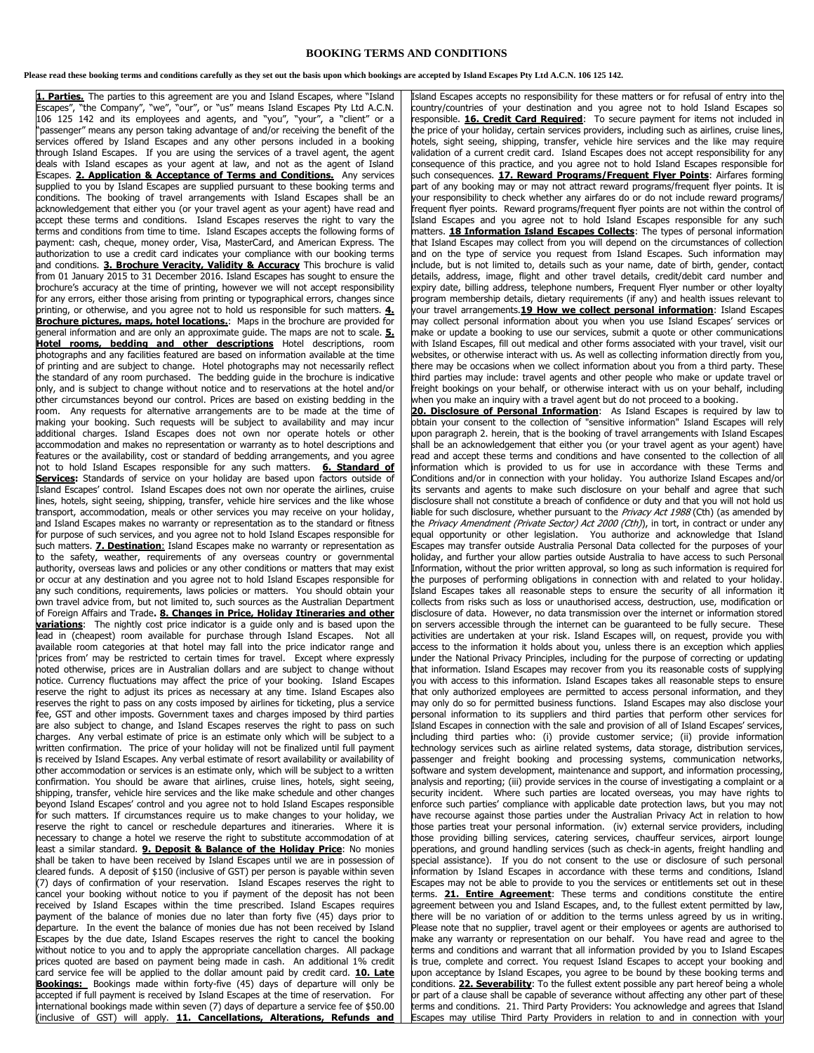## **BOOKING TERMS AND CONDITIONS**

## **Please read these booking terms and conditions carefully as they set out the basis upon which bookings are accepted by Island Escapes Pty Ltd A.C.N. 106 125 142.**

1. Parties. The parties to this agreement are you and Island Escapes, where "Island Escapes", "the Company", "we", "our", or "us" means Island Escapes Pty Ltd A.C.N. 106 125 142 and its employees and agents, and "you", "your", a "client" or a "passenger" means any person taking advantage of and/or receiving the benefit of the services offered by Island Escapes and any other persons included in a booking through Island Escapes. If you are using the services of a travel agent, the agent deals with Island escapes as your agent at law, and not as the agent of Island Escapes. **2. Application & Acceptance of Terms and Conditions.** Any services supplied to you by Island Escapes are supplied pursuant to these booking terms and conditions. The booking of travel arrangements with Island Escapes shall be an acknowledgement that either you (or your travel agent as your agent) have read and accept these terms and conditions. Island Escapes reserves the right to vary the terms and conditions from time to time. Island Escapes accepts the following forms of payment: cash, cheque, money order, Visa, MasterCard, and American Express. The **authorization to use a credit card indicates your compliance with our booking terms** and conditions. **3. Brochure Veracity, Validity & Accuracy** This brochure is valid from 01 January 2015 to 31 December 2016. Island Escapes has sought to ensure the brochure's accuracy at the time of printing, however we will not accept responsibility for any errors, either those arising from printing or typographical errors, changes since printing, or otherwise, and you agree not to hold us responsible for such matters. **4. Brochure pictures, maps, hotel locations.**: Maps in the brochure are provided for general information and are only an approximate guide. The maps are not to scale. **5. Hotel rooms, bedding and other descriptions** Hotel descriptions, room photographs and any facilities featured are based on information available at the time of printing and are subject to change. Hotel photographs may not necessarily reflect the standard of any room purchased. The bedding guide in the brochure is indicative only, and is subject to change without notice and to reservations at the hotel and/or other circumstances beyond our control. Prices are based on existing bedding in the room. Any requests for alternative arrangements are to be made at the time of making your booking. Such requests will be subject to availability and may incur additional charges. Island Escapes does not own nor operate hotels or other accommodation and makes no representation or warranty as to hotel descriptions and features or the availability, cost or standard of bedding arrangements, and you agree not to hold Island Escapes responsible for any such matters. **6. Standard of Services:** Standards of service on your holiday are based upon factors outside of Island Escapes' control. Island Escapes does not own nor operate the airlines, cruise lines, hotels, sight seeing, shipping, transfer, vehicle hire services and the like whose transport, accommodation, meals or other services you may receive on your holiday, and Island Escapes makes no warranty or representation as to the standard or fitness for purpose of such services, and you agree not to hold Island Escapes responsible for such matters. **7. Destination**: Island Escapes make no warranty or representation as to the safety, weather, requirements of any overseas country or governmental authority, overseas laws and policies or any other conditions or matters that may exist or occur at any destination and you agree not to hold Island Escapes responsible for any such conditions, requirements, laws policies or matters. You should obtain your own travel advice from, but not limited to, such sources as the Australian Department of Foreign Affairs and Trade**. 8. Changes in Price, Holiday Itineraries and other variations**: The nightly cost price indicator is a guide only and is based upon the lead in (cheapest) room available for purchase through Island Escapes. Not all available room categories at that hotel may fall into the price indicator range and 'prices from' may be restricted to certain times for travel. Except where expressly noted otherwise, prices are in Australian dollars and are subject to change without notice. Currency fluctuations may affect the price of your booking. Island Escapes reserve the right to adjust its prices as necessary at any time. Island Escapes also reserves the right to pass on any costs imposed by airlines for ticketing, plus a service fee, GST and other imposts. Government taxes and charges imposed by third parties are also subject to change, and Island Escapes reserves the right to pass on such charges. Any verbal estimate of price is an estimate only which will be subject to a written confirmation. The price of your holiday will not be finalized until full payment is received by Island Escapes. Any verbal estimate of resort availability or availability of other accommodation or services is an estimate only, which will be subject to a written confirmation. You should be aware that airlines, cruise lines, hotels, sight seeing, shipping, transfer, vehicle hire services and the like make schedule and other changes beyond Island Escapes' control and you agree not to hold Island Escapes responsible for such matters. If circumstances require us to make changes to your holiday, we reserve the right to cancel or reschedule departures and itineraries. Where it is necessary to change a hotel we reserve the right to substitute accommodation of at least a similar standard. **9. Deposit & Balance of the Holiday Price**: No monies shall be taken to have been received by Island Escapes until we are in possession of cleared funds. A deposit of \$150 (inclusive of GST) per person is payable within seven (7) days of confirmation of your reservation. Island Escapes reserves the right to cancel your booking without notice to you if payment of the deposit has not been received by Island Escapes within the time prescribed. Island Escapes requires payment of the balance of monies due no later than forty five (45) days prior to departure. In the event the balance of monies due has not been received by Island Escapes by the due date, Island Escapes reserves the right to cancel the booking without notice to you and to apply the appropriate cancellation charges. All package prices quoted are based on payment being made in cash. An additional 1% credit card service fee will be applied to the dollar amount paid by credit card. **10. Late Bookings:** Bookings made within forty-five (45) days of departure will only be accepted if full payment is received by Island Escapes at the time of reservation. For international bookings made within seven (7) days of departure a service fee of \$50.00 (inclusive of GST) will apply. **11. Cancellations, Alterations, Refunds and** 

Island Escapes accepts no responsibility for these matters or for refusal of entry into the country/countries of your destination and you agree not to hold Island Escapes so responsible. **16. Credit Card Required**: To secure payment for items not included in the price of your holiday, certain services providers, including such as airlines, cruise lines, hotels, sight seeing, shipping, transfer, vehicle hire services and the like may require validation of a current credit card. Island Escapes does not accept responsibility for any consequence of this practice, and you agree not to hold Island Escapes responsible for such consequences. **17. Reward Programs/Frequent Flyer Points**: Airfares forming part of any booking may or may not attract reward programs/frequent flyer points. It is your responsibility to check whether any airfares do or do not include reward programs/ frequent flyer points. Reward programs/frequent flyer points are not within the control of Island Escapes and you agree not to hold Island Escapes responsible for any such matters. **18 Information Island Escapes Collects**: The types of personal information that Island Escapes may collect from you will depend on the circumstances of collection and on the type of service you request from Island Escapes. Such information may include, but is not limited to, details such as your name, date of birth, gender, contact details, address, image, flight and other travel details, credit/debit card number and expiry date, billing address, telephone numbers, Frequent Flyer number or other loyalty program membership details, dietary requirements (if any) and health issues relevant to your travel arrangements.**19 How we collect personal information**: Island Escapes may collect personal information about you when you use Island Escapes' services or make or update a booking to use our services, submit a quote or other communications with Island Escapes, fill out medical and other forms associated with your travel, visit our websites, or otherwise interact with us. As well as collecting information directly from you, there may be occasions when we collect information about you from a third party. These third parties may include: travel agents and other people who make or update travel or freight bookings on your behalf, or otherwise interact with us on your behalf, including when you make an inquiry with a travel agent but do not proceed to a booking.

20. Disclosure of Personal Information: As Island Escapes is required by law to obtain your consent to the collection of "sensitive information" Island Escapes will rely upon paragraph 2. herein, that is the booking of travel arrangements with Island Escapes shall be an acknowledgement that either you (or your travel agent as your agent) have read and accept these terms and conditions and have consented to the collection of all information which is provided to us for use in accordance with these Terms and Conditions and/or in connection with your holiday. You authorize Island Escapes and/or its servants and agents to make such disclosure on your behalf and agree that such disclosure shall not constitute a breach of confidence or duty and that you will not hold us liable for such disclosure, whether pursuant to the *Privacy Act 1988* (Cth) (as amended by the Privacy Amendment (Private Sector) Act 2000 (Cth)), in tort, in contract or under any equal opportunity or other legislation. You authorize and acknowledge that Island Escapes may transfer outside Australia Personal Data collected for the purposes of your holiday, and further your allow parties outside Australia to have access to such Personal Information, without the prior written approval, so long as such information is required for the purposes of performing obligations in connection with and related to your holiday. Island Escapes takes all reasonable steps to ensure the security of all information it collects from risks such as loss or unauthorised access, destruction, use, modification or disclosure of data. However, no data transmission over the internet or information stored on servers accessible through the internet can be guaranteed to be fully secure. These activities are undertaken at your risk. Island Escapes will, on request, provide you with access to the information it holds about you, unless there is an exception which applies under the National Privacy Principles, including for the purpose of correcting or updating that information. Island Escapes may recover from you its reasonable costs of supplying you with access to this information. Island Escapes takes all reasonable steps to ensure that only authorized employees are permitted to access personal information, and they may only do so for permitted business functions. Island Escapes may also disclose your personal information to its suppliers and third parties that perform other services for Island Escapes in connection with the sale and provision of all of Island Escapes' services, including third parties who: (i) provide customer service; (ii) provide information technology services such as airline related systems, data storage, distribution services, passenger and freight booking and processing systems, communication networks, software and system development, maintenance and support, and information processing, analysis and reporting; (iii) provide services in the course of investigating a complaint or a security incident. Where such parties are located overseas, you may have rights to enforce such parties' compliance with applicable date protection laws, but you may not have recourse against those parties under the Australian Privacy Act in relation to how those parties treat your personal information. (iv) external service providers, including those providing billing services, catering services, chauffeur services, airport lounge operations, and ground handling services (such as check-in agents, freight handling and special assistance). If you do not consent to the use or disclosure of such personal information by Island Escapes in accordance with these terms and conditions, Island Escapes may not be able to provide to you the services or entitlements set out in these terms. **21. Entire Agreement**: These terms and conditions constitute the entire agreement between you and Island Escapes, and, to the fullest extent permitted by law, there will be no variation of or addition to the terms unless agreed by us in writing. Please note that no supplier, travel agent or their employees or agents are authorised to make any warranty or representation on our behalf. You have read and agree to the terms and conditions and warrant that all information provided by you to Island Escapes is true, complete and correct. You request Island Escapes to accept your booking and upon acceptance by Island Escapes, you agree to be bound by these booking terms and conditions. **22. Severability**: To the fullest extent possible any part hereof being a whole or part of a clause shall be capable of severance without affecting any other part of these terms and conditions. 21. Third Party Providers: You acknowledge and agrees that Island scapes may utilise Third Party Providers in relation to and in connection with your